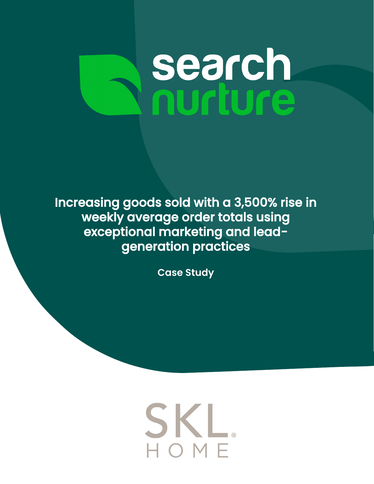# **search**<br>nurture

Increasing goods sold with a 3,500% rise in weekly average order totals using exceptional marketing and leadgeneration practices

**Case Study**

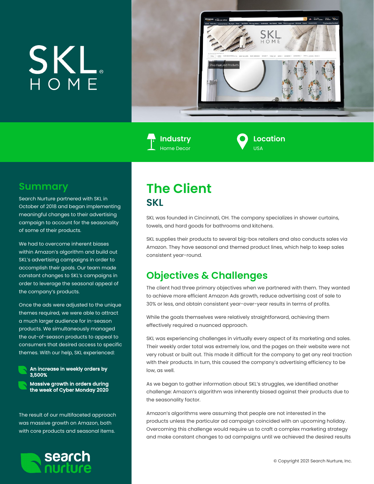## SKL



**Industry** Home Decor

**Location** USA

#### **Summary**

Search Nurture partnered with SKL in October of 2018 and began implementing meaningful changes to their advertising campaign to account for the seasonality of some of their products.

We had to overcome inherent biases within Amazon's algorithm and build out SKL's advertising campaigns in order to accomplish their goals. Our team made constant changes to SKL's campaigns in order to leverage the seasonal appeal of the company's products.

Once the ads were adjusted to the unique themes required, we were able to attract a much larger audience for in-season products. We simultaneously managed the out-of-season products to appeal to consumers that desired access to specific themes. With our help, SKL experienced:



An increase in weekly orders by 3,500%

Massive growth in orders during the week of Cyber Monday 2020

The result of our multifaceted approach was massive growth on Amazon, both with core products and seasonal items.



#### **The Client SKL**

SKL was founded in Cincinnati, OH. The company specializes in shower curtains, towels, and hard goods for bathrooms and kitchens.

SKL supplies their products to several big-box retailers and also conducts sales via Amazon. They have seasonal and themed product lines, which help to keep sales consistent year-round.

#### **Objectives & Challenges**

The client had three primary objectives when we partnered with them. They wanted to achieve more efficient Amazon Ads growth, reduce advertising cost of sale to 30% or less, and obtain consistent year-over-year results in terms of profits.

While the goals themselves were relatively straightforward, achieving them effectively required a nuanced approach.

SKL was experiencing challenges in virtually every aspect of its marketing and sales. Their weekly order total was extremely low, and the pages on their website were not very robust or built out. This made it difficult for the company to get any real traction with their products. In turn, this caused the company's advertising efficiency to be low, as well.

As we began to gather information about SKL's struggles, we identified another challenge: Amazon's algorithm was inherently biased against their products due to the seasonality factor.

Amazon's algorithms were assuming that people are not interested in the products unless the particular ad campaign coincided with an upcoming holiday. Overcoming this challenge would require us to craft a complex marketing strategy and make constant changes to ad campaigns until we achieved the desired results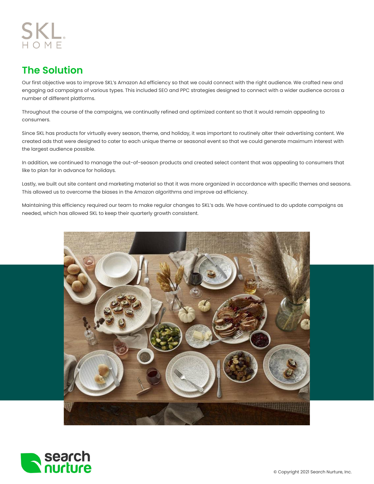### SKL.

#### **The Solution**

Our first objective was to improve SKL's Amazon Ad efficiency so that we could connect with the right audience. We crafted new and engaging ad campaigns of various types. This included SEO and PPC strategies designed to connect with a wider audience across a number of different platforms.

Throughout the course of the campaigns, we continually refined and optimized content so that it would remain appealing to consumers.

Since SKL has products for virtually every season, theme, and holiday, it was important to routinely alter their advertising content. We created ads that were designed to cater to each unique theme or seasonal event so that we could generate maximum interest with the largest audience possible.

In addition, we continued to manage the out-of-season products and created select content that was appealing to consumers that like to plan far in advance for holidays.

Lastly, we built out site content and marketing material so that it was more organized in accordance with specific themes and seasons. This allowed us to overcome the biases in the Amazon algorithms and improve ad efficiency.

Maintaining this efficiency required our team to make regular changes to SKL's ads. We have continued to do update campaigns as needed, which has allowed SKL to keep their quarterly growth consistent.